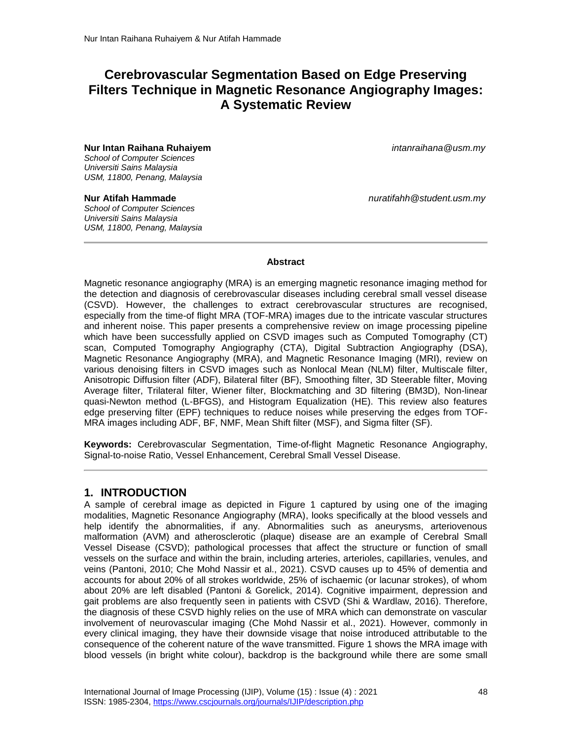# **Cerebrovascular Segmentation Based on Edge Preserving Filters Technique in Magnetic Resonance Angiography Images: A Systematic Review**

**Nur Intan Raihana Ruhaiyem** *intanraihana@usm.my School of Computer Sciences Universiti Sains Malaysia USM, 11800, Penang, Malaysia*

*School of Computer Sciences Universiti Sains Malaysia USM, 11800, Penang, Malaysia*

**Nur Atifah Hammade** *nuratifahh@student.usm.my*

Magnetic resonance angiography (MRA) is an emerging magnetic resonance imaging method for the detection and diagnosis of cerebrovascular diseases including cerebral small vessel disease (CSVD). However, the challenges to extract cerebrovascular structures are recognised, especially from the time-of flight MRA (TOF-MRA) images due to the intricate vascular structures and inherent noise. This paper presents a comprehensive review on image processing pipeline which have been successfully applied on CSVD images such as Computed Tomography (CT) scan, Computed Tomography Angiography (CTA), Digital Subtraction Angiography (DSA), Magnetic Resonance Angiography (MRA), and Magnetic Resonance Imaging (MRI), review on various denoising filters in CSVD images such as Nonlocal Mean (NLM) filter, Multiscale filter, Anisotropic Diffusion filter (ADF), Bilateral filter (BF), Smoothing filter, 3D Steerable filter, Moving Average filter, Trilateral filter, Wiener filter, Blockmatching and 3D filtering (BM3D), Non-linear quasi-Newton method (L-BFGS), and Histogram Equalization (HE). This review also features edge preserving filter (EPF) techniques to reduce noises while preserving the edges from TOF-MRA images including ADF, BF, NMF, Mean Shift filter (MSF), and Sigma filter (SF).

**Abstract**

**Keywords:** Cerebrovascular Segmentation, Time-of-flight Magnetic Resonance Angiography, Signal-to-noise Ratio, Vessel Enhancement, Cerebral Small Vessel Disease.

#### **1. INTRODUCTION**

A sample of cerebral image as depicted in Figure 1 captured by using one of the imaging modalities, Magnetic Resonance Angiography (MRA), looks specifically at the blood vessels and help identify the abnormalities, if any. Abnormalities such as aneurysms, arteriovenous malformation (AVM) and atherosclerotic (plaque) disease are an example of Cerebral Small Vessel Disease (CSVD); pathological processes that affect the structure or function of small vessels on the surface and within the brain, including arteries, arterioles, capillaries, venules, and veins (Pantoni, 2010; Che Mohd Nassir et al., 2021). CSVD causes up to 45% of dementia and accounts for about 20% of all strokes worldwide, 25% of ischaemic (or lacunar strokes), of whom about 20% are left disabled (Pantoni & Gorelick, 2014). Cognitive impairment, depression and gait problems are also frequently seen in patients with CSVD (Shi & Wardlaw, 2016). Therefore, the diagnosis of these CSVD highly relies on the use of MRA which can demonstrate on vascular involvement of neurovascular imaging (Che Mohd Nassir et al., 2021). However, commonly in every clinical imaging, they have their downside visage that noise introduced attributable to the consequence of the coherent nature of the wave transmitted. Figure 1 shows the MRA image with blood vessels (in bright white colour), backdrop is the background while there are some small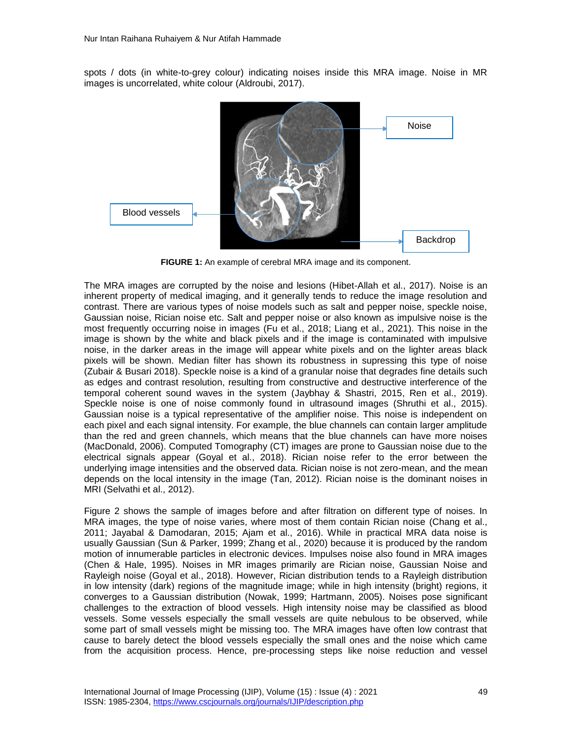spots / dots (in white-to-grey colour) indicating noises inside this MRA image. Noise in MR images is uncorrelated, white colour (Aldroubi, 2017).



**FIGURE 1:** An example of cerebral MRA image and its component.

The MRA images are corrupted by the noise and lesions (Hibet-Allah et al., 2017). Noise is an inherent property of medical imaging, and it generally tends to reduce the image resolution and contrast. There are various types of noise models such as salt and pepper noise, speckle noise, Gaussian noise, Rician noise etc. Salt and pepper noise or also known as impulsive noise is the most frequently occurring noise in images (Fu et al., 2018; Liang et al., 2021). This noise in the image is shown by the white and black pixels and if the image is contaminated with impulsive noise, in the darker areas in the image will appear white pixels and on the lighter areas black pixels will be shown. Median filter has shown its robustness in supressing this type of noise (Zubair & Busari 2018). Speckle noise is a kind of a granular noise that degrades fine details such as edges and contrast resolution, resulting from constructive and destructive interference of the temporal coherent sound waves in the system (Jaybhay & Shastri, 2015, Ren et al., 2019). Speckle noise is one of noise commonly found in ultrasound images (Shruthi et al., 2015). Gaussian noise is a typical representative of the amplifier noise. This noise is independent on each pixel and each signal intensity. For example, the blue channels can contain larger amplitude than the red and green channels, which means that the blue channels can have more noises (MacDonald, 2006). Computed Tomography (CT) images are prone to Gaussian noise due to the electrical signals appear (Goyal et al., 2018). Rician noise refer to the error between the underlying image intensities and the observed data. Rician noise is not zero-mean, and the mean depends on the local intensity in the image (Tan, 2012). Rician noise is the dominant noises in MRI (Selvathi et al., 2012).

Figure 2 shows the sample of images before and after filtration on different type of noises. In MRA images, the type of noise varies, where most of them contain Rician noise (Chang et al., 2011; Jayabal & Damodaran, 2015; Ajam et al., 2016). While in practical MRA data noise is usually Gaussian (Sun & Parker, 1999; Zhang et al., 2020) because it is produced by the random motion of innumerable particles in electronic devices. Impulses noise also found in MRA images (Chen & Hale, 1995). Noises in MR images primarily are Rician noise, Gaussian Noise and Rayleigh noise (Goyal et al., 2018). However, Rician distribution tends to a Rayleigh distribution in low intensity (dark) regions of the magnitude image; while in high intensity (bright) regions, it converges to a Gaussian distribution (Nowak, 1999; Hartmann, 2005). Noises pose significant challenges to the extraction of blood vessels. High intensity noise may be classified as blood vessels. Some vessels especially the small vessels are quite nebulous to be observed, while some part of small vessels might be missing too. The MRA images have often low contrast that cause to barely detect the blood vessels especially the small ones and the noise which came from the acquisition process. Hence, pre-processing steps like noise reduction and vessel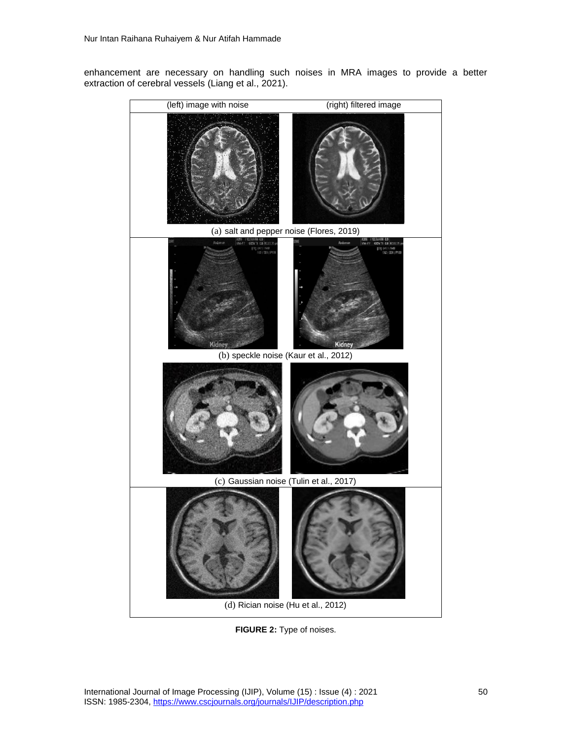enhancement are necessary on handling such noises in MRA images to provide a better extraction of cerebral vessels (Liang et al., 2021).



**FIGURE 2:** Type of noises.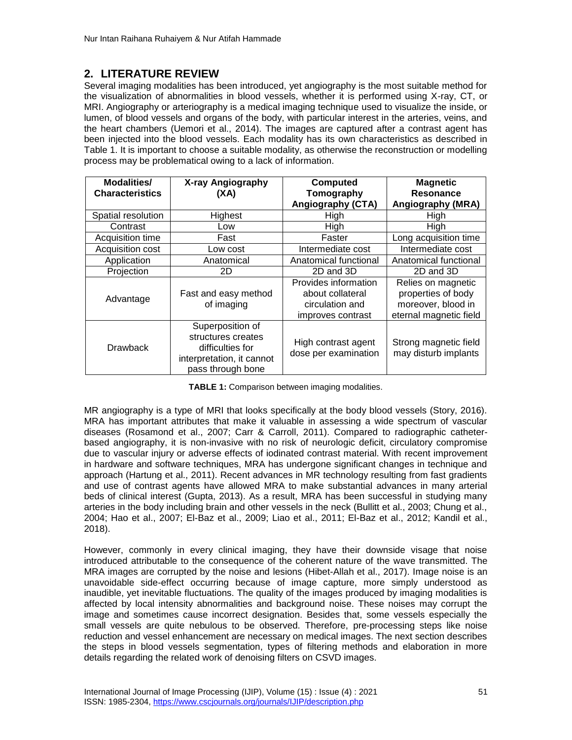# **2. LITERATURE REVIEW**

Several imaging modalities has been introduced, yet angiography is the most suitable method for the visualization of abnormalities in blood vessels, whether it is performed using X-ray, CT, or MRI. Angiography or arteriography is a medical imaging technique used to visualize the inside, or lumen, of blood vessels and organs of the body, with particular interest in the arteries, veins, and the heart chambers (Uemori et al., 2014). The images are captured after a contrast agent has been injected into the blood vessels. Each modality has its own characteristics as described in Table 1. It is important to choose a suitable modality, as otherwise the reconstruction or modelling process may be problematical owing to a lack of information.

| Modalities/<br><b>Characteristics</b> | X-ray Angiography<br>(XA)                                                                                    | <b>Computed</b><br>Tomography<br><b>Angiography (CTA)</b>                        | <b>Magnetic</b><br>Resonance<br>Angiography (MRA)                                        |
|---------------------------------------|--------------------------------------------------------------------------------------------------------------|----------------------------------------------------------------------------------|------------------------------------------------------------------------------------------|
| Spatial resolution                    | Highest                                                                                                      | High                                                                             | High                                                                                     |
| Contrast                              | Low                                                                                                          | High                                                                             | High                                                                                     |
| Acquisition time                      | Fast                                                                                                         | Faster                                                                           | Long acquisition time                                                                    |
| Acquisition cost                      | Low cost                                                                                                     | Intermediate cost                                                                | Intermediate cost                                                                        |
| Application                           | Anatomical                                                                                                   | Anatomical functional                                                            | Anatomical functional                                                                    |
| Projection                            | 2D                                                                                                           | 2D and 3D                                                                        | 2D and 3D                                                                                |
| Advantage                             | Fast and easy method<br>of imaging                                                                           | Provides information<br>about collateral<br>circulation and<br>improves contrast | Relies on magnetic<br>properties of body<br>moreover, blood in<br>eternal magnetic field |
| <b>Drawback</b>                       | Superposition of<br>structures creates<br>difficulties for<br>interpretation, it cannot<br>pass through bone | High contrast agent<br>dose per examination                                      | Strong magnetic field<br>may disturb implants                                            |

**TABLE 1:** Comparison between imaging modalities.

MR angiography is a type of MRI that looks specifically at the body blood vessels (Story, 2016). MRA has important attributes that make it valuable in assessing a wide spectrum of vascular diseases (Rosamond et al., 2007; Carr & Carroll, 2011). Compared to radiographic catheterbased angiography, it is non-invasive with no risk of neurologic deficit, circulatory compromise due to vascular injury or adverse effects of iodinated contrast material. With recent improvement in hardware and software techniques, MRA has undergone significant changes in technique and approach (Hartung et al., 2011). Recent advances in MR technology resulting from fast gradients and use of contrast agents have allowed MRA to make substantial advances in many arterial beds of clinical interest (Gupta, 2013). As a result, MRA has been successful in studying many arteries in the body including brain and other vessels in the neck (Bullitt et al., 2003; Chung et al., 2004; Hao et al., 2007; El-Baz et al., 2009; Liao et al., 2011; El-Baz et al., 2012; Kandil et al., 2018).

However, commonly in every clinical imaging, they have their downside visage that noise introduced attributable to the consequence of the coherent nature of the wave transmitted. The MRA images are corrupted by the noise and lesions (Hibet-Allah et al., 2017). Image noise is an unavoidable side-effect occurring because of image capture, more simply understood as inaudible, yet inevitable fluctuations. The quality of the images produced by imaging modalities is affected by local intensity abnormalities and background noise. These noises may corrupt the image and sometimes cause incorrect designation. Besides that, some vessels especially the small vessels are quite nebulous to be observed. Therefore, pre-processing steps like noise reduction and vessel enhancement are necessary on medical images. The next section describes the steps in blood vessels segmentation, types of filtering methods and elaboration in more details regarding the related work of denoising filters on CSVD images.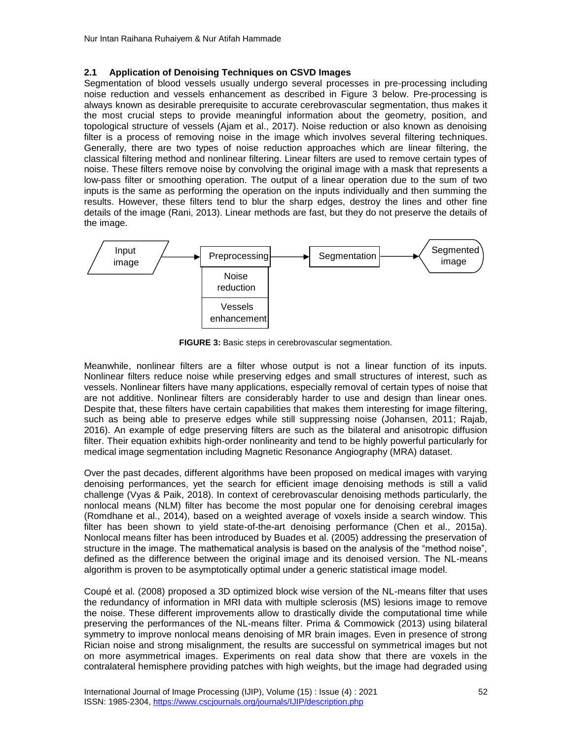#### **2.1 Application of Denoising Techniques on CSVD Images**

Segmentation of blood vessels usually undergo several processes in pre-processing including noise reduction and vessels enhancement as described in Figure 3 below. Pre-processing is always known as desirable prerequisite to accurate cerebrovascular segmentation, thus makes it the most crucial steps to provide meaningful information about the geometry, position, and topological structure of vessels (Ajam et al., 2017). Noise reduction or also known as denoising filter is a process of removing noise in the image which involves several filtering techniques. Generally, there are two types of noise reduction approaches which are linear filtering, the classical filtering method and nonlinear filtering. Linear filters are used to remove certain types of noise. These filters remove noise by convolving the original image with a mask that represents a low-pass filter or smoothing operation. The output of a linear operation due to the sum of two inputs is the same as performing the operation on the inputs individually and then summing the results. However, these filters tend to blur the sharp edges, destroy the lines and other fine details of the image (Rani, 2013). Linear methods are fast, but they do not preserve the details of the image.



**FIGURE 3:** Basic steps in cerebrovascular segmentation.

Meanwhile, nonlinear filters are a filter whose output is not a linear function of its inputs. Nonlinear filters reduce noise while preserving edges and small structures of interest, such as vessels. Nonlinear filters have many applications, especially removal of certain types of noise that are not additive. Nonlinear filters are considerably harder to use and design than linear ones. Despite that, these filters have certain capabilities that makes them interesting for image filtering, such as being able to preserve edges while still suppressing noise (Johansen, 2011; Rajab, 2016). An example of edge preserving filters are such as the bilateral and anisotropic diffusion filter. Their equation exhibits high-order nonlinearity and tend to be highly powerful particularly for medical image segmentation including Magnetic Resonance Angiography (MRA) dataset.

Over the past decades, different algorithms have been proposed on medical images with varying denoising performances, yet the search for efficient image denoising methods is still a valid challenge (Vyas & Paik, 2018). In context of cerebrovascular denoising methods particularly, the nonlocal means (NLM) filter has become the most popular one for denoising cerebral images (Romdhane et al., 2014), based on a weighted average of voxels inside a search window. This filter has been shown to yield state-of-the-art denoising performance (Chen et al., 2015a). Nonlocal means filter has been introduced by Buades et al. (2005) addressing the preservation of structure in the image. The mathematical analysis is based on the analysis of the "method noise", defined as the difference between the original image and its denoised version. The NL-means algorithm is proven to be asymptotically optimal under a generic statistical image model.

Coupé et al. (2008) proposed a 3D optimized block wise version of the NL-means filter that uses the redundancy of information in MRI data with multiple sclerosis (MS) lesions image to remove the noise. These different improvements allow to drastically divide the computational time while preserving the performances of the NL-means filter. Prima & Commowick (2013) using bilateral symmetry to improve nonlocal means denoising of MR brain images. Even in presence of strong Rician noise and strong misalignment, the results are successful on symmetrical images but not on more asymmetrical images. Experiments on real data show that there are voxels in the contralateral hemisphere providing patches with high weights, but the image had degraded using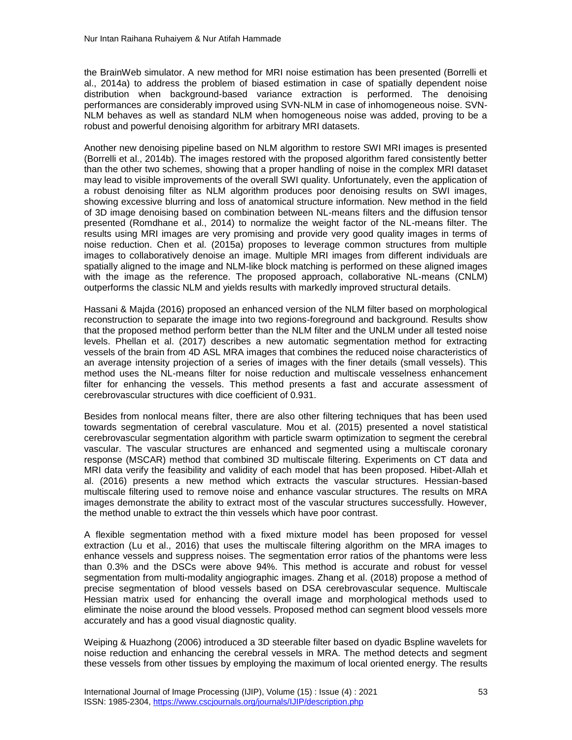the BrainWeb simulator. A new method for MRI noise estimation has been presented (Borrelli et al., 2014a) to address the problem of biased estimation in case of spatially dependent noise distribution when background-based variance extraction is performed. The denoising performances are considerably improved using SVN-NLM in case of inhomogeneous noise. SVN-NLM behaves as well as standard NLM when homogeneous noise was added, proving to be a robust and powerful denoising algorithm for arbitrary MRI datasets.

Another new denoising pipeline based on NLM algorithm to restore SWI MRI images is presented (Borrelli et al., 2014b). The images restored with the proposed algorithm fared consistently better than the other two schemes, showing that a proper handling of noise in the complex MRI dataset may lead to visible improvements of the overall SWI quality. Unfortunately, even the application of a robust denoising filter as NLM algorithm produces poor denoising results on SWI images, showing excessive blurring and loss of anatomical structure information. New method in the field of 3D image denoising based on combination between NL-means filters and the diffusion tensor presented (Romdhane et al., 2014) to normalize the weight factor of the NL-means filter. The results using MRI images are very promising and provide very good quality images in terms of noise reduction. Chen et al. (2015a) proposes to leverage common structures from multiple images to collaboratively denoise an image. Multiple MRI images from different individuals are spatially aligned to the image and NLM-like block matching is performed on these aligned images with the image as the reference. The proposed approach, collaborative NL-means (CNLM) outperforms the classic NLM and yields results with markedly improved structural details.

Hassani & Majda (2016) proposed an enhanced version of the NLM filter based on morphological reconstruction to separate the image into two regions-foreground and background. Results show that the proposed method perform better than the NLM filter and the UNLM under all tested noise levels. Phellan et al. (2017) describes a new automatic segmentation method for extracting vessels of the brain from 4D ASL MRA images that combines the reduced noise characteristics of an average intensity projection of a series of images with the finer details (small vessels). This method uses the NL-means filter for noise reduction and multiscale vesselness enhancement filter for enhancing the vessels. This method presents a fast and accurate assessment of cerebrovascular structures with dice coefficient of 0.931.

Besides from nonlocal means filter, there are also other filtering techniques that has been used towards segmentation of cerebral vasculature. Mou et al. (2015) presented a novel statistical cerebrovascular segmentation algorithm with particle swarm optimization to segment the cerebral vascular. The vascular structures are enhanced and segmented using a multiscale coronary response (MSCAR) method that combined 3D multiscale filtering. Experiments on CT data and MRI data verify the feasibility and validity of each model that has been proposed. Hibet-Allah et al. (2016) presents a new method which extracts the vascular structures. Hessian-based multiscale filtering used to remove noise and enhance vascular structures. The results on MRA images demonstrate the ability to extract most of the vascular structures successfully. However, the method unable to extract the thin vessels which have poor contrast.

A flexible segmentation method with a fixed mixture model has been proposed for vessel extraction (Lu et al., 2016) that uses the multiscale filtering algorithm on the MRA images to enhance vessels and suppress noises. The segmentation error ratios of the phantoms were less than 0.3% and the DSCs were above 94%. This method is accurate and robust for vessel segmentation from multi-modality angiographic images. Zhang et al. (2018) propose a method of precise segmentation of blood vessels based on DSA cerebrovascular sequence. Multiscale Hessian matrix used for enhancing the overall image and morphological methods used to eliminate the noise around the blood vessels. Proposed method can segment blood vessels more accurately and has a good visual diagnostic quality.

Weiping & Huazhong (2006) introduced a 3D steerable filter based on dyadic Bspline wavelets for noise reduction and enhancing the cerebral vessels in MRA. The method detects and segment these vessels from other tissues by employing the maximum of local oriented energy. The results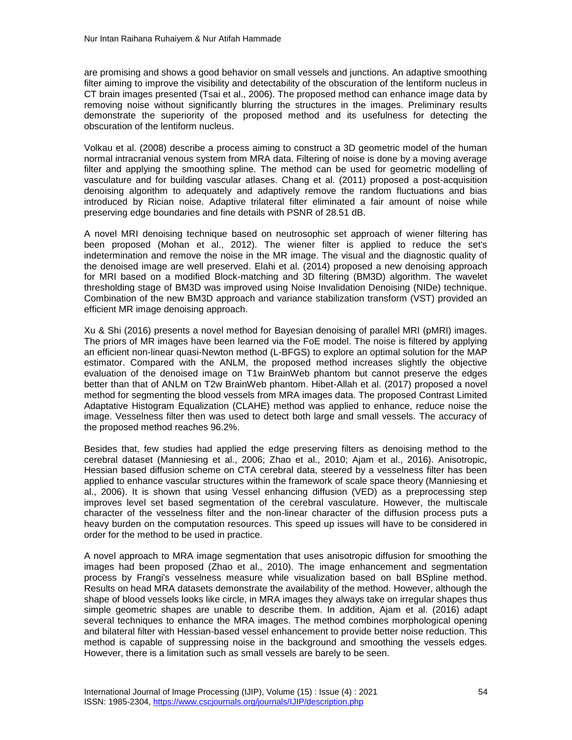are promising and shows a good behavior on small vessels and junctions. An adaptive smoothing filter aiming to improve the visibility and detectability of the obscuration of the lentiform nucleus in CT brain images presented (Tsai et al., 2006). The proposed method can enhance image data by removing noise without significantly blurring the structures in the images. Preliminary results demonstrate the superiority of the proposed method and its usefulness for detecting the obscuration of the lentiform nucleus.

Volkau et al. (2008) describe a process aiming to construct a 3D geometric model of the human normal intracranial venous system from MRA data. Filtering of noise is done by a moving average filter and applying the smoothing spline. The method can be used for geometric modelling of vasculature and for building vascular atlases. Chang et al. (2011) proposed a post-acquisition denoising algorithm to adequately and adaptively remove the random fluctuations and bias introduced by Rician noise. Adaptive trilateral filter eliminated a fair amount of noise while preserving edge boundaries and fine details with PSNR of 28.51 dB.

A novel MRI denoising technique based on neutrosophic set approach of wiener filtering has been proposed (Mohan et al., 2012). The wiener filter is applied to reduce the set's indetermination and remove the noise in the MR image. The visual and the diagnostic quality of the denoised image are well preserved. Elahi et al. (2014) proposed a new denoising approach for MRI based on a modified Block-matching and 3D filtering (BM3D) algorithm. The wavelet thresholding stage of BM3D was improved using Noise Invalidation Denoising (NIDe) technique. Combination of the new BM3D approach and variance stabilization transform (VST) provided an efficient MR image denoising approach.

Xu & Shi (2016) presents a novel method for Bayesian denoising of parallel MRI (pMRI) images. The priors of MR images have been learned via the FoE model. The noise is filtered by applying an efficient non-linear quasi-Newton method (L-BFGS) to explore an optimal solution for the MAP estimator. Compared with the ANLM, the proposed method increases slightly the objective evaluation of the denoised image on T1w BrainWeb phantom but cannot preserve the edges better than that of ANLM on T2w BrainWeb phantom. Hibet-Allah et al. (2017) proposed a novel method for segmenting the blood vessels from MRA images data. The proposed Contrast Limited Adaptative Histogram Equalization (CLAHE) method was applied to enhance, reduce noise the image. Vesselness filter then was used to detect both large and small vessels. The accuracy of the proposed method reaches 96.2%.

Besides that, few studies had applied the edge preserving filters as denoising method to the cerebral dataset (Manniesing et al., 2006; Zhao et al., 2010; Ajam et al., 2016). Anisotropic, Hessian based diffusion scheme on CTA cerebral data, steered by a vesselness filter has been applied to enhance vascular structures within the framework of scale space theory (Manniesing et al., 2006). It is shown that using Vessel enhancing diffusion (VED) as a preprocessing step improves level set based segmentation of the cerebral vasculature. However, the multiscale character of the vesselness filter and the non-linear character of the diffusion process puts a heavy burden on the computation resources. This speed up issues will have to be considered in order for the method to be used in practice.

A novel approach to MRA image segmentation that uses anisotropic diffusion for smoothing the images had been proposed (Zhao et al., 2010). The image enhancement and segmentation process by Frangi's vesselness measure while visualization based on ball BSpline method. Results on head MRA datasets demonstrate the availability of the method. However, although the shape of blood vessels looks like circle, in MRA images they always take on irregular shapes thus simple geometric shapes are unable to describe them. In addition, Ajam et al. (2016) adapt several techniques to enhance the MRA images. The method combines morphological opening and bilateral filter with Hessian-based vessel enhancement to provide better noise reduction. This method is capable of suppressing noise in the background and smoothing the vessels edges. However, there is a limitation such as small vessels are barely to be seen.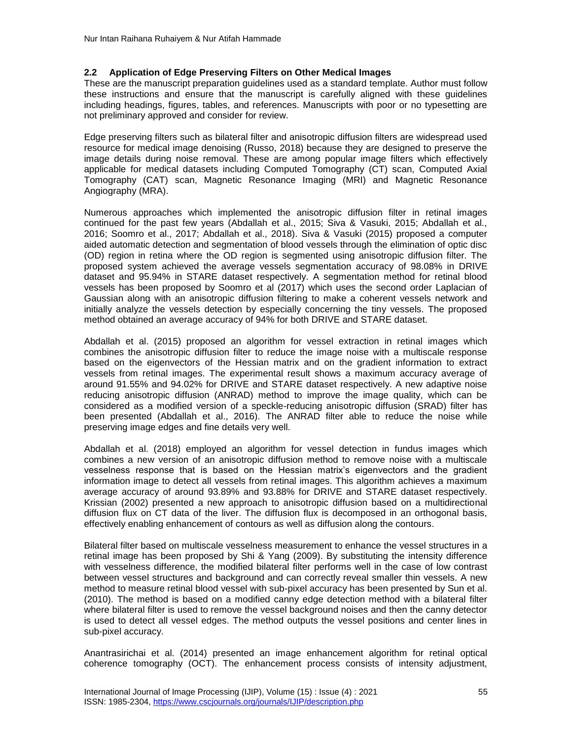#### **2.2 Application of Edge Preserving Filters on Other Medical Images**

These are the manuscript preparation guidelines used as a standard template. Author must follow these instructions and ensure that the manuscript is carefully aligned with these guidelines including headings, figures, tables, and references. Manuscripts with poor or no typesetting are not preliminary approved and consider for review.

Edge preserving filters such as bilateral filter and anisotropic diffusion filters are widespread used resource for medical image denoising (Russo, 2018) because they are designed to preserve the image details during noise removal. These are among popular image filters which effectively applicable for medical datasets including Computed Tomography (CT) scan, Computed Axial Tomography (CAT) scan, Magnetic Resonance Imaging (MRI) and Magnetic Resonance Angiography (MRA).

Numerous approaches which implemented the anisotropic diffusion filter in retinal images continued for the past few years (Abdallah et al., 2015; Siva & Vasuki, 2015; Abdallah et al., 2016; Soomro et al., 2017; Abdallah et al., 2018). Siva & Vasuki (2015) proposed a computer aided automatic detection and segmentation of blood vessels through the elimination of optic disc (OD) region in retina where the OD region is segmented using anisotropic diffusion filter. The proposed system achieved the average vessels segmentation accuracy of 98.08% in DRIVE dataset and 95.94% in STARE dataset respectively. A segmentation method for retinal blood vessels has been proposed by Soomro et al (2017) which uses the second order Laplacian of Gaussian along with an anisotropic diffusion filtering to make a coherent vessels network and initially analyze the vessels detection by especially concerning the tiny vessels. The proposed method obtained an average accuracy of 94% for both DRIVE and STARE dataset.

Abdallah et al. (2015) proposed an algorithm for vessel extraction in retinal images which combines the anisotropic diffusion filter to reduce the image noise with a multiscale response based on the eigenvectors of the Hessian matrix and on the gradient information to extract vessels from retinal images. The experimental result shows a maximum accuracy average of around 91.55% and 94.02% for DRIVE and STARE dataset respectively. A new adaptive noise reducing anisotropic diffusion (ANRAD) method to improve the image quality, which can be considered as a modified version of a speckle-reducing anisotropic diffusion (SRAD) filter has been presented (Abdallah et al., 2016). The ANRAD filter able to reduce the noise while preserving image edges and fine details very well.

Abdallah et al. (2018) employed an algorithm for vessel detection in fundus images which combines a new version of an anisotropic diffusion method to remove noise with a multiscale vesselness response that is based on the Hessian matrix's eigenvectors and the gradient information image to detect all vessels from retinal images. This algorithm achieves a maximum average accuracy of around 93.89% and 93.88% for DRIVE and STARE dataset respectively. Krissian (2002) presented a new approach to anisotropic diffusion based on a multidirectional diffusion flux on CT data of the liver. The diffusion flux is decomposed in an orthogonal basis, effectively enabling enhancement of contours as well as diffusion along the contours.

Bilateral filter based on multiscale vesselness measurement to enhance the vessel structures in a retinal image has been proposed by Shi & Yang (2009). By substituting the intensity difference with vesselness difference, the modified bilateral filter performs well in the case of low contrast between vessel structures and background and can correctly reveal smaller thin vessels. A new method to measure retinal blood vessel with sub-pixel accuracy has been presented by Sun et al. (2010). The method is based on a modified canny edge detection method with a bilateral filter where bilateral filter is used to remove the vessel background noises and then the canny detector is used to detect all vessel edges. The method outputs the vessel positions and center lines in sub-pixel accuracy.

Anantrasirichai et al. (2014) presented an image enhancement algorithm for retinal optical coherence tomography (OCT). The enhancement process consists of intensity adjustment,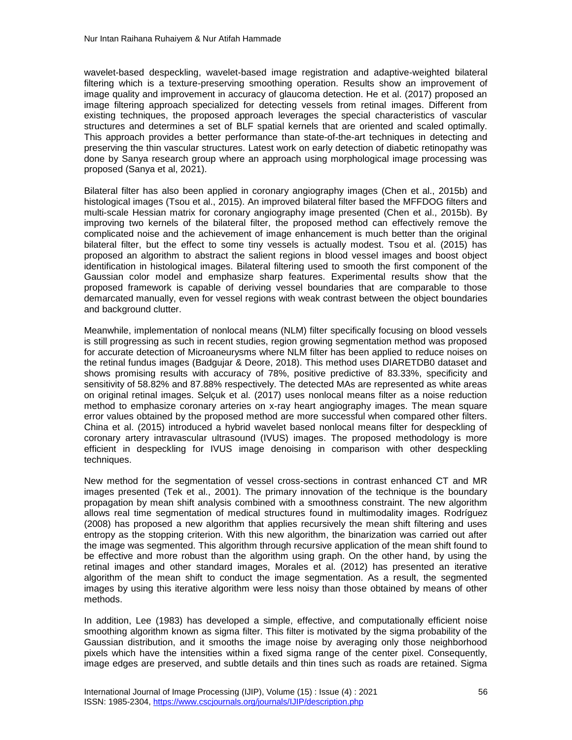wavelet-based despeckling, wavelet-based image registration and adaptive-weighted bilateral filtering which is a texture-preserving smoothing operation. Results show an improvement of image quality and improvement in accuracy of glaucoma detection. He et al. (2017) proposed an image filtering approach specialized for detecting vessels from retinal images. Different from existing techniques, the proposed approach leverages the special characteristics of vascular structures and determines a set of BLF spatial kernels that are oriented and scaled optimally. This approach provides a better performance than state-of-the-art techniques in detecting and preserving the thin vascular structures. Latest work on early detection of diabetic retinopathy was done by Sanya research group where an approach using morphological image processing was proposed (Sanya et al, 2021).

Bilateral filter has also been applied in coronary angiography images (Chen et al., 2015b) and histological images (Tsou et al., 2015). An improved bilateral filter based the MFFDOG filters and multi-scale Hessian matrix for coronary angiography image presented (Chen et al., 2015b). By improving two kernels of the bilateral filter, the proposed method can effectively remove the complicated noise and the achievement of image enhancement is much better than the original bilateral filter, but the effect to some tiny vessels is actually modest. Tsou et al. (2015) has proposed an algorithm to abstract the salient regions in blood vessel images and boost object identification in histological images. Bilateral filtering used to smooth the first component of the Gaussian color model and emphasize sharp features. Experimental results show that the proposed framework is capable of deriving vessel boundaries that are comparable to those demarcated manually, even for vessel regions with weak contrast between the object boundaries and background clutter.

Meanwhile, implementation of nonlocal means (NLM) filter specifically focusing on blood vessels is still progressing as such in recent studies, region growing segmentation method was proposed for accurate detection of Microaneurysms where NLM filter has been applied to reduce noises on the retinal fundus images (Badgujar & Deore, 2018). This method uses DIARETDB0 dataset and shows promising results with accuracy of 78%, positive predictive of 83.33%, specificity and sensitivity of 58.82% and 87.88% respectively. The detected MAs are represented as white areas on original retinal images. Selçuk et al. (2017) uses nonlocal means filter as a noise reduction method to emphasize coronary arteries on x-ray heart angiography images. The mean square error values obtained by the proposed method are more successful when compared other filters. China et al. (2015) introduced a hybrid wavelet based nonlocal means filter for despeckling of coronary artery intravascular ultrasound (IVUS) images. The proposed methodology is more efficient in despeckling for IVUS image denoising in comparison with other despeckling techniques.

New method for the segmentation of vessel cross-sections in contrast enhanced CT and MR images presented (Tek et al., 2001). The primary innovation of the technique is the boundary propagation by mean shift analysis combined with a smoothness constraint. The new algorithm allows real time segmentation of medical structures found in multimodality images. Rodríguez (2008) has proposed a new algorithm that applies recursively the mean shift filtering and uses entropy as the stopping criterion. With this new algorithm, the binarization was carried out after the image was segmented. This algorithm through recursive application of the mean shift found to be effective and more robust than the algorithm using graph. On the other hand, by using the retinal images and other standard images, Morales et al. (2012) has presented an iterative algorithm of the mean shift to conduct the image segmentation. As a result, the segmented images by using this iterative algorithm were less noisy than those obtained by means of other methods.

In addition, Lee (1983) has developed a simple, effective, and computationally efficient noise smoothing algorithm known as sigma filter. This filter is motivated by the sigma probability of the Gaussian distribution, and it smooths the image noise by averaging only those neighborhood pixels which have the intensities within a fixed sigma range of the center pixel. Consequently, image edges are preserved, and subtle details and thin tines such as roads are retained. Sigma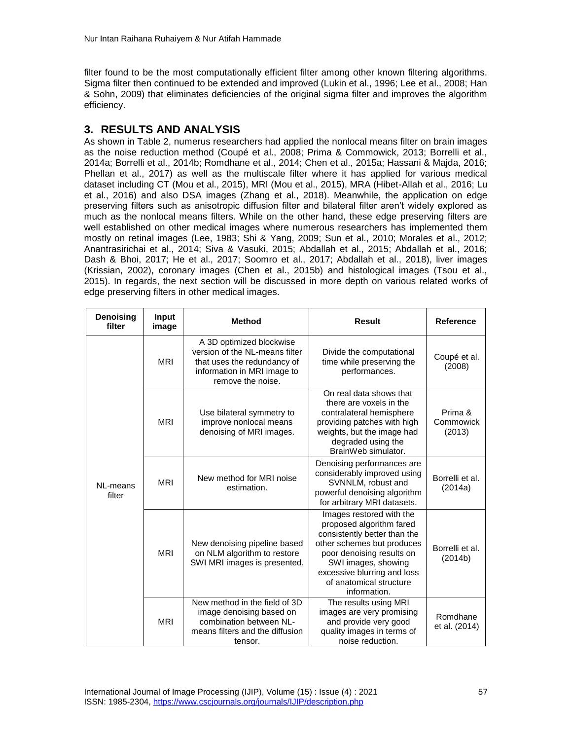filter found to be the most computationally efficient filter among other known filtering algorithms. Sigma filter then continued to be extended and improved (Lukin et al., 1996; Lee et al., 2008; Han & Sohn, 2009) that eliminates deficiencies of the original sigma filter and improves the algorithm efficiency.

# **3. RESULTS AND ANALYSIS**

As shown in Table 2, numerus researchers had applied the nonlocal means filter on brain images as the noise reduction method (Coupé et al., 2008; Prima & Commowick, 2013; Borrelli et al., 2014a; Borrelli et al., 2014b; Romdhane et al., 2014; Chen et al., 2015a; Hassani & Majda, 2016; Phellan et al., 2017) as well as the multiscale filter where it has applied for various medical dataset including CT (Mou et al., 2015), MRI (Mou et al., 2015), MRA (Hibet-Allah et al., 2016; Lu et al., 2016) and also DSA images (Zhang et al., 2018). Meanwhile, the application on edge preserving filters such as anisotropic diffusion filter and bilateral filter aren't widely explored as much as the nonlocal means filters. While on the other hand, these edge preserving filters are well established on other medical images where numerous researchers has implemented them mostly on retinal images (Lee, 1983; Shi & Yang, 2009; Sun et al., 2010; Morales et al., 2012; Anantrasirichai et al., 2014; Siva & Vasuki, 2015; Abdallah et al., 2015; Abdallah et al., 2016; Dash & Bhoi, 2017; He et al., 2017; Soomro et al., 2017; Abdallah et al., 2018), liver images (Krissian, 2002), coronary images (Chen et al., 2015b) and histological images (Tsou et al., 2015). In regards, the next section will be discussed in more depth on various related works of edge preserving filters in other medical images.

| <b>Denoising</b><br>filter | Input<br>image | <b>Method</b>                                                                                                                                 | <b>Result</b>                                                                                                                                                                                                                                    | <b>Reference</b>               |
|----------------------------|----------------|-----------------------------------------------------------------------------------------------------------------------------------------------|--------------------------------------------------------------------------------------------------------------------------------------------------------------------------------------------------------------------------------------------------|--------------------------------|
| NL-means<br>filter         | <b>MRI</b>     | A 3D optimized blockwise<br>version of the NL-means filter<br>that uses the redundancy of<br>information in MRI image to<br>remove the noise. | Divide the computational<br>time while preserving the<br>performances.                                                                                                                                                                           | Coupé et al.<br>(2008)         |
|                            | <b>MRI</b>     | Use bilateral symmetry to<br>improve nonlocal means<br>denoising of MRI images.                                                               | On real data shows that<br>there are voxels in the<br>contralateral hemisphere<br>providing patches with high<br>weights, but the image had<br>degraded using the<br>BrainWeb simulator.                                                         | Prima &<br>Commowick<br>(2013) |
|                            | <b>MRI</b>     | New method for MRI noise<br>estimation.                                                                                                       | Denoising performances are<br>considerably improved using<br>SVNNLM, robust and<br>powerful denoising algorithm<br>for arbitrary MRI datasets.                                                                                                   | Borrelli et al.<br>(2014a)     |
|                            | <b>MRI</b>     | New denoising pipeline based<br>on NLM algorithm to restore<br>SWI MRI images is presented.                                                   | Images restored with the<br>proposed algorithm fared<br>consistently better than the<br>other schemes but produces<br>poor denoising results on<br>SWI images, showing<br>excessive blurring and loss<br>of anatomical structure<br>information. | Borrelli et al.<br>(2014b)     |
|                            | <b>MRI</b>     | New method in the field of 3D<br>image denoising based on<br>combination between NL-<br>means filters and the diffusion<br>tensor.            | The results using MRI<br>images are very promising<br>and provide very good<br>quality images in terms of<br>noise reduction.                                                                                                                    | Romdhane<br>et al. (2014)      |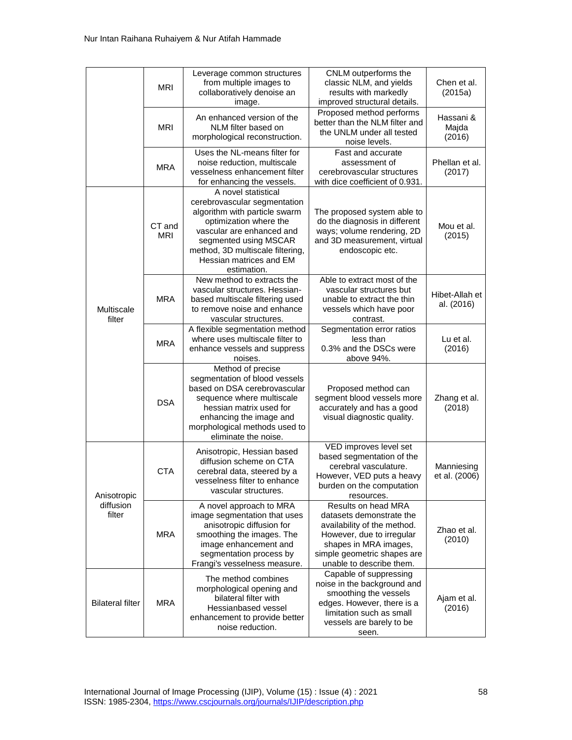|                                    | <b>MRI</b>           | Leverage common structures<br>from multiple images to<br>collaboratively denoise an<br>image.                                                                                                                                                      | CNLM outperforms the<br>classic NLM, and yields<br>results with markedly<br>improved structural details.                                                                                        | Chen et al.<br>(2015a)       |
|------------------------------------|----------------------|----------------------------------------------------------------------------------------------------------------------------------------------------------------------------------------------------------------------------------------------------|-------------------------------------------------------------------------------------------------------------------------------------------------------------------------------------------------|------------------------------|
|                                    | <b>MRI</b>           | An enhanced version of the<br>NLM filter based on<br>morphological reconstruction.                                                                                                                                                                 | Proposed method performs<br>better than the NLM filter and<br>the UNLM under all tested<br>noise levels.                                                                                        | Hassani &<br>Majda<br>(2016) |
|                                    | <b>MRA</b>           | Uses the NL-means filter for<br>noise reduction, multiscale<br>vesselness enhancement filter<br>for enhancing the vessels.                                                                                                                         | Fast and accurate<br>assessment of<br>cerebrovascular structures<br>with dice coefficient of 0.931.                                                                                             | Phellan et al.<br>(2017)     |
|                                    | CT and<br><b>MRI</b> | A novel statistical<br>cerebrovascular segmentation<br>algorithm with particle swarm<br>optimization where the<br>vascular are enhanced and<br>segmented using MSCAR<br>method, 3D multiscale filtering,<br>Hessian matrices and EM<br>estimation. | The proposed system able to<br>do the diagnosis in different<br>ways; volume rendering, 2D<br>and 3D measurement, virtual<br>endoscopic etc.                                                    | Mou et al.<br>(2015)         |
| Multiscale<br>filter               | <b>MRA</b>           | New method to extracts the<br>vascular structures. Hessian-<br>based multiscale filtering used<br>to remove noise and enhance<br>vascular structures.                                                                                              | Able to extract most of the<br>vascular structures but<br>unable to extract the thin<br>vessels which have poor<br>contrast.                                                                    | Hibet-Allah et<br>al. (2016) |
|                                    | <b>MRA</b>           | A flexible segmentation method<br>where uses multiscale filter to<br>enhance vessels and suppress<br>noises.                                                                                                                                       | Segmentation error ratios<br>less than<br>0.3% and the DSCs were<br>above 94%.                                                                                                                  | Lu et al.<br>(2016)          |
|                                    | <b>DSA</b>           | Method of precise<br>segmentation of blood vessels<br>based on DSA cerebrovascular<br>sequence where multiscale<br>hessian matrix used for<br>enhancing the image and<br>morphological methods used to<br>eliminate the noise.                     | Proposed method can<br>segment blood vessels more<br>accurately and has a good<br>visual diagnostic quality.                                                                                    | Zhang et al.<br>(2018)       |
| Anisotropic<br>diffusion<br>filter | <b>CTA</b>           | Anisotropic, Hessian based<br>diffusion scheme on CTA<br>cerebral data, steered by a<br>vesselness filter to enhance<br>vascular structures.                                                                                                       | VED improves level set<br>based segmentation of the<br>cerebral vasculature.<br>However, VED puts a heavy<br>burden on the computation<br>resources.                                            | Manniesing<br>et al. (2006)  |
|                                    | <b>MRA</b>           | A novel approach to MRA<br>image segmentation that uses<br>anisotropic diffusion for<br>smoothing the images. The<br>image enhancement and<br>segmentation process by<br>Frangi's vesselness measure.                                              | Results on head MRA<br>datasets demonstrate the<br>availability of the method.<br>However, due to irregular<br>shapes in MRA images,<br>simple geometric shapes are<br>unable to describe them. | Zhao et al.<br>(2010)        |
| <b>Bilateral filter</b>            | <b>MRA</b>           | The method combines<br>morphological opening and<br>bilateral filter with<br>Hessianbased vessel<br>enhancement to provide better<br>noise reduction.                                                                                              | Capable of suppressing<br>noise in the background and<br>smoothing the vessels<br>edges. However, there is a<br>limitation such as small<br>vessels are barely to be<br>seen.                   | Ajam et al.<br>(2016)        |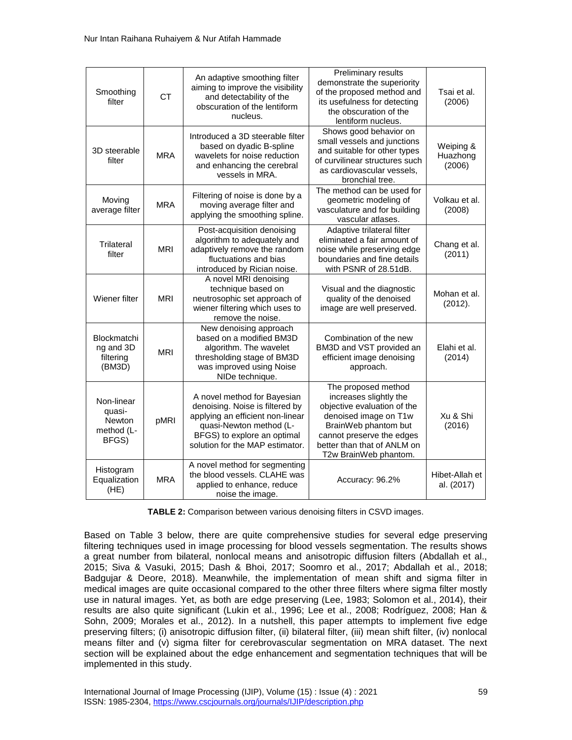| Smoothing<br>filter                                   | <b>CT</b>  | An adaptive smoothing filter<br>aiming to improve the visibility<br>and detectability of the<br>obscuration of the lentiform<br>nucleus.                                                        | Preliminary results<br>demonstrate the superiority<br>of the proposed method and<br>its usefulness for detecting<br>the obscuration of the<br>lentiform nucleus.                                                   | Tsai et al.<br>(2006)           |
|-------------------------------------------------------|------------|-------------------------------------------------------------------------------------------------------------------------------------------------------------------------------------------------|--------------------------------------------------------------------------------------------------------------------------------------------------------------------------------------------------------------------|---------------------------------|
| 3D steerable<br>filter                                | <b>MRA</b> | Introduced a 3D steerable filter<br>based on dyadic B-spline<br>wavelets for noise reduction<br>and enhancing the cerebral<br>vessels in MRA.                                                   | Shows good behavior on<br>small vessels and junctions<br>and suitable for other types<br>of curvilinear structures such<br>as cardiovascular vessels,<br>bronchial tree.                                           | Weiping &<br>Huazhong<br>(2006) |
| Moving<br>average filter                              | <b>MRA</b> | Filtering of noise is done by a<br>moving average filter and<br>applying the smoothing spline.                                                                                                  | The method can be used for<br>geometric modeling of<br>vasculature and for building<br>vascular atlases.                                                                                                           | Volkau et al.<br>(2008)         |
| Trilateral<br>filter                                  | <b>MRI</b> | Post-acquisition denoising<br>algorithm to adequately and<br>adaptively remove the random<br>fluctuations and bias<br>introduced by Rician noise.                                               | Adaptive trilateral filter<br>eliminated a fair amount of<br>noise while preserving edge<br>boundaries and fine details<br>with PSNR of 28.51dB.                                                                   | Chang et al.<br>(2011)          |
| Wiener filter                                         | <b>MRI</b> | A novel MRI denoising<br>technique based on<br>neutrosophic set approach of<br>wiener filtering which uses to<br>remove the noise.                                                              | Visual and the diagnostic<br>quality of the denoised<br>image are well preserved.                                                                                                                                  | Mohan et al.<br>(2012).         |
| Blockmatchi<br>ng and 3D<br>filtering<br>(BM3D)       | <b>MRI</b> | New denoising approach<br>based on a modified BM3D<br>algorithm. The wavelet<br>thresholding stage of BM3D<br>was improved using Noise<br>NIDe technique.                                       | Combination of the new<br>BM3D and VST provided an<br>efficient image denoising<br>approach.                                                                                                                       | Elahi et al.<br>(2014)          |
| Non-linear<br>quasi-<br>Newton<br>method (L-<br>BFGS) | pMRI       | A novel method for Bayesian<br>denoising. Noise is filtered by<br>applying an efficient non-linear<br>quasi-Newton method (L-<br>BFGS) to explore an optimal<br>solution for the MAP estimator. | The proposed method<br>increases slightly the<br>objective evaluation of the<br>denoised image on T1w<br>BrainWeb phantom but<br>cannot preserve the edges<br>better than that of ANLM on<br>T2w BrainWeb phantom. | Xu & Shi<br>(2016)              |
| Histogram<br>Equalization<br>(HE)                     | <b>MRA</b> | A novel method for segmenting<br>the blood vessels. CLAHE was<br>applied to enhance, reduce<br>noise the image.                                                                                 | Accuracy: 96.2%                                                                                                                                                                                                    | Hibet-Allah et<br>al. (2017)    |

**TABLE 2:** Comparison between various denoising filters in CSVD images.

Based on Table 3 below, there are quite comprehensive studies for several edge preserving filtering techniques used in image processing for blood vessels segmentation. The results shows a great number from bilateral, nonlocal means and anisotropic diffusion filters (Abdallah et al., 2015; Siva & Vasuki, 2015; Dash & Bhoi, 2017; Soomro et al., 2017; Abdallah et al., 2018; Badgujar & Deore, 2018). Meanwhile, the implementation of mean shift and sigma filter in medical images are quite occasional compared to the other three filters where sigma filter mostly use in natural images. Yet, as both are edge preserving (Lee, 1983; Solomon et al., 2014), their results are also quite significant (Lukin et al., 1996; Lee et al., 2008; Rodríguez, 2008; Han & Sohn, 2009; Morales et al., 2012). In a nutshell, this paper attempts to implement five edge preserving filters; (i) anisotropic diffusion filter, (ii) bilateral filter, (iii) mean shift filter, (iv) nonlocal means filter and (v) sigma filter for cerebrovascular segmentation on MRA dataset. The next section will be explained about the edge enhancement and segmentation techniques that will be implemented in this study.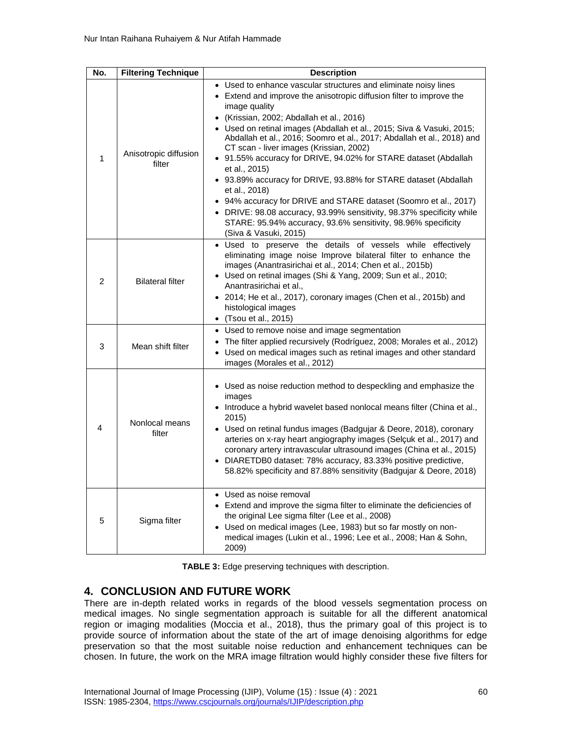| No.          | <b>Filtering Technique</b>      | <b>Description</b>                                                                                                                                                                                                                                                                                                                                                                                                                                                                                                                                                                                                                                                                                                                                                                                                 |  |
|--------------|---------------------------------|--------------------------------------------------------------------------------------------------------------------------------------------------------------------------------------------------------------------------------------------------------------------------------------------------------------------------------------------------------------------------------------------------------------------------------------------------------------------------------------------------------------------------------------------------------------------------------------------------------------------------------------------------------------------------------------------------------------------------------------------------------------------------------------------------------------------|--|
| $\mathbf{1}$ | Anisotropic diffusion<br>filter | • Used to enhance vascular structures and eliminate noisy lines<br>• Extend and improve the anisotropic diffusion filter to improve the<br>image quality<br>• (Krissian, 2002; Abdallah et al., 2016)<br>• Used on retinal images (Abdallah et al., 2015; Siva & Vasuki, 2015;<br>Abdallah et al., 2016; Soomro et al., 2017; Abdallah et al., 2018) and<br>CT scan - liver images (Krissian, 2002)<br>• 91.55% accuracy for DRIVE, 94.02% for STARE dataset (Abdallah<br>et al., 2015)<br>• 93.89% accuracy for DRIVE, 93.88% for STARE dataset (Abdallah<br>et al., 2018)<br>• 94% accuracy for DRIVE and STARE dataset (Soomro et al., 2017)<br>• DRIVE: 98.08 accuracy, 93.99% sensitivity, 98.37% specificity while<br>STARE: 95.94% accuracy, 93.6% sensitivity, 98.96% specificity<br>(Siva & Vasuki, 2015) |  |
| 2            | <b>Bilateral filter</b>         | · Used to preserve the details of vessels while effectively<br>eliminating image noise Improve bilateral filter to enhance the<br>images (Anantrasirichai et al., 2014; Chen et al., 2015b)<br>• Used on retinal images (Shi & Yang, 2009; Sun et al., 2010;<br>Anantrasirichai et al.,<br>• 2014; He et al., 2017), coronary images (Chen et al., 2015b) and<br>histological images<br>• (Tsou et al., 2015)                                                                                                                                                                                                                                                                                                                                                                                                      |  |
| 3            | Mean shift filter               | • Used to remove noise and image segmentation<br>The filter applied recursively (Rodríguez, 2008; Morales et al., 2012)<br>• Used on medical images such as retinal images and other standard<br>images (Morales et al., 2012)                                                                                                                                                                                                                                                                                                                                                                                                                                                                                                                                                                                     |  |
| 4            | Nonlocal means<br>filter        | • Used as noise reduction method to despeckling and emphasize the<br>images<br>• Introduce a hybrid wavelet based nonlocal means filter (China et al.,<br>2015)<br>• Used on retinal fundus images (Badgujar & Deore, 2018), coronary<br>arteries on x-ray heart angiography images (Selçuk et al., 2017) and<br>coronary artery intravascular ultrasound images (China et al., 2015)<br>• DIARETDB0 dataset: 78% accuracy, 83.33% positive predictive,<br>58.82% specificity and 87.88% sensitivity (Badgujar & Deore, 2018)                                                                                                                                                                                                                                                                                      |  |
| 5            | Sigma filter                    | • Used as noise removal<br>• Extend and improve the sigma filter to eliminate the deficiencies of<br>the original Lee sigma filter (Lee et al., 2008)<br>• Used on medical images (Lee, 1983) but so far mostly on non-<br>medical images (Lukin et al., 1996; Lee et al., 2008; Han & Sohn,<br>2009)                                                                                                                                                                                                                                                                                                                                                                                                                                                                                                              |  |

**TABLE 3:** Edge preserving techniques with description.

# **4. CONCLUSION AND FUTURE WORK**

There are in-depth related works in regards of the blood vessels segmentation process on medical images. No single segmentation approach is suitable for all the different anatomical region or imaging modalities (Moccia et al., 2018), thus the primary goal of this project is to provide source of information about the state of the art of image denoising algorithms for edge preservation so that the most suitable noise reduction and enhancement techniques can be chosen. In future, the work on the MRA image filtration would highly consider these five filters for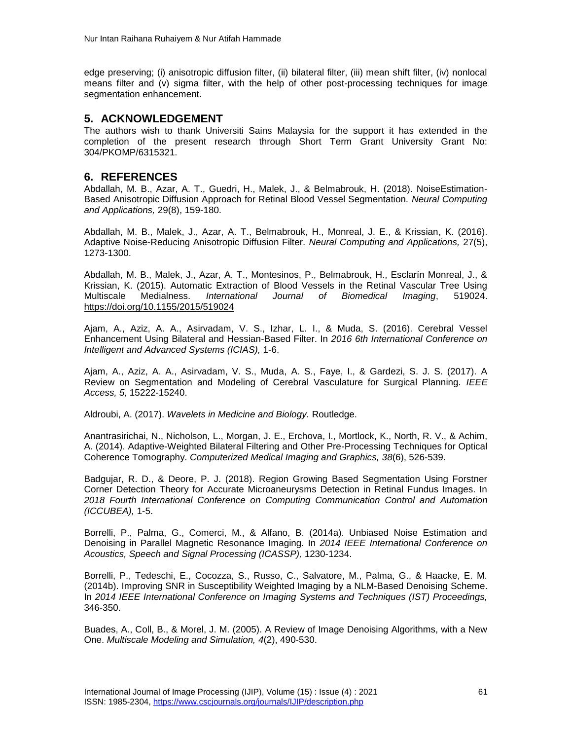edge preserving; (i) anisotropic diffusion filter, (ii) bilateral filter, (iii) mean shift filter, (iv) nonlocal means filter and (v) sigma filter, with the help of other post-processing techniques for image segmentation enhancement.

## **5. ACKNOWLEDGEMENT**

The authors wish to thank Universiti Sains Malaysia for the support it has extended in the completion of the present research through Short Term Grant University Grant No: 304/PKOMP/6315321.

### **6. REFERENCES**

Abdallah, M. B., Azar, A. T., Guedri, H., Malek, J., & Belmabrouk, H. (2018). NoiseEstimation-Based Anisotropic Diffusion Approach for Retinal Blood Vessel Segmentation. *Neural Computing and Applications,* 29(8), 159-180.

Abdallah, M. B., Malek, J., Azar, A. T., Belmabrouk, H., Monreal, J. E., & Krissian, K. (2016). Adaptive Noise-Reducing Anisotropic Diffusion Filter. *Neural Computing and Applications,* 27(5), 1273-1300.

Abdallah, M. B., Malek, J., Azar, A. T., Montesinos, P., Belmabrouk, H., Esclarín Monreal, J., & Krissian, K. (2015). Automatic Extraction of Blood Vessels in the Retinal Vascular Tree Using Multiscale Medialness. *International Journal of Biomedical Imaging*, 519024. <https://doi.org/10.1155/2015/519024>

Ajam, A., Aziz, A. A., Asirvadam, V. S., Izhar, L. I., & Muda, S. (2016). Cerebral Vessel Enhancement Using Bilateral and Hessian-Based Filter. In *2016 6th International Conference on Intelligent and Advanced Systems (ICIAS),* 1-6.

Ajam, A., Aziz, A. A., Asirvadam, V. S., Muda, A. S., Faye, I., & Gardezi, S. J. S. (2017). A Review on Segmentation and Modeling of Cerebral Vasculature for Surgical Planning. *IEEE Access, 5,* 15222-15240.

Aldroubi, A. (2017). *Wavelets in Medicine and Biology.* Routledge.

Anantrasirichai, N., Nicholson, L., Morgan, J. E., Erchova, I., Mortlock, K., North, R. V., & Achim, A. (2014). Adaptive-Weighted Bilateral Filtering and Other Pre-Processing Techniques for Optical Coherence Tomography. *Computerized Medical Imaging and Graphics, 38*(6), 526-539.

Badgujar, R. D., & Deore, P. J. (2018). Region Growing Based Segmentation Using Forstner Corner Detection Theory for Accurate Microaneurysms Detection in Retinal Fundus Images. In *2018 Fourth International Conference on Computing Communication Control and Automation (ICCUBEA),* 1-5.

Borrelli, P., Palma, G., Comerci, M., & Alfano, B. (2014a). Unbiased Noise Estimation and Denoising in Parallel Magnetic Resonance Imaging. In *2014 IEEE International Conference on Acoustics, Speech and Signal Processing (ICASSP),* 1230-1234.

Borrelli, P., Tedeschi, E., Cocozza, S., Russo, C., Salvatore, M., Palma, G., & Haacke, E. M. (2014b). Improving SNR in Susceptibility Weighted Imaging by a NLM-Based Denoising Scheme. In *2014 IEEE International Conference on Imaging Systems and Techniques (IST) Proceedings,* 346-350.

Buades, A., Coll, B., & Morel, J. M. (2005). A Review of Image Denoising Algorithms, with a New One. *Multiscale Modeling and Simulation, 4*(2), 490-530.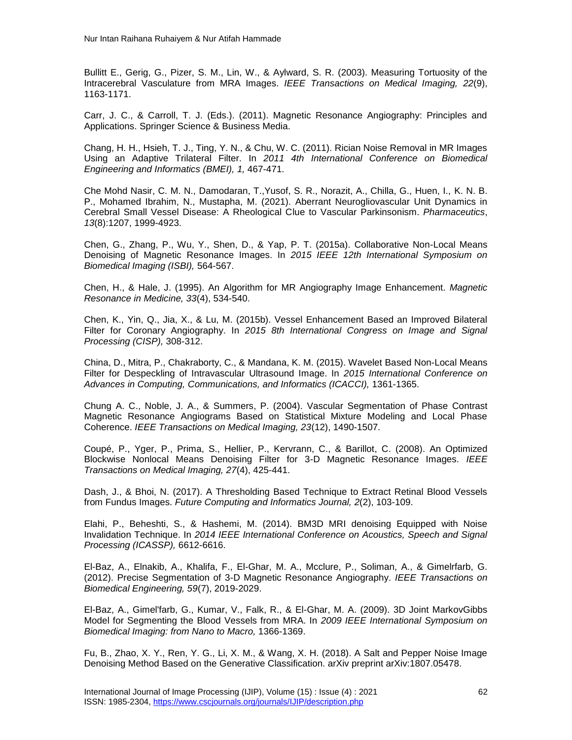Bullitt E., Gerig, G., Pizer, S. M., Lin, W., & Aylward, S. R. (2003). Measuring Tortuosity of the Intracerebral Vasculature from MRA Images. *IEEE Transactions on Medical Imaging, 22*(9), 1163-1171.

Carr, J. C., & Carroll, T. J. (Eds.). (2011). Magnetic Resonance Angiography: Principles and Applications. Springer Science & Business Media.

Chang, H. H., Hsieh, T. J., Ting, Y. N., & Chu, W. C. (2011). Rician Noise Removal in MR Images Using an Adaptive Trilateral Filter. In *2011 4th International Conference on Biomedical Engineering and Informatics (BMEI), 1,* 467-471.

Che Mohd Nasir, C. M. N., Damodaran, T.,Yusof, S. R., Norazit, A., Chilla, G., Huen, I., K. N. B. P., Mohamed Ibrahim, N., Mustapha, M. (2021). Aberrant Neurogliovascular Unit Dynamics in Cerebral Small Vessel Disease: A Rheological Clue to Vascular Parkinsonism. *Pharmaceutics*, *13*(8):1207, 1999-4923.

Chen, G., Zhang, P., Wu, Y., Shen, D., & Yap, P. T. (2015a). Collaborative Non-Local Means Denoising of Magnetic Resonance Images. In *2015 IEEE 12th International Symposium on Biomedical Imaging (ISBI),* 564-567.

Chen, H., & Hale, J. (1995). An Algorithm for MR Angiography Image Enhancement. *Magnetic Resonance in Medicine, 33*(4), 534-540.

Chen, K., Yin, Q., Jia, X., & Lu, M. (2015b). Vessel Enhancement Based an Improved Bilateral Filter for Coronary Angiography. In *2015 8th International Congress on Image and Signal Processing (CISP),* 308-312.

China, D., Mitra, P., Chakraborty, C., & Mandana, K. M. (2015). Wavelet Based Non-Local Means Filter for Despeckling of Intravascular Ultrasound Image. In *2015 International Conference on Advances in Computing, Communications, and Informatics (ICACCI),* 1361-1365.

Chung A. C., Noble, J. A., & Summers, P. (2004). Vascular Segmentation of Phase Contrast Magnetic Resonance Angiograms Based on Statistical Mixture Modeling and Local Phase Coherence. *IEEE Transactions on Medical Imaging, 23*(12), 1490-1507.

Coupé, P., Yger, P., Prima, S., Hellier, P., Kervrann, C., & Barillot, C. (2008). An Optimized Blockwise Nonlocal Means Denoising Filter for 3-D Magnetic Resonance Images. *IEEE Transactions on Medical Imaging, 27*(4), 425-441.

Dash, J., & Bhoi, N. (2017). A Thresholding Based Technique to Extract Retinal Blood Vessels from Fundus Images. *Future Computing and Informatics Journal, 2*(2), 103-109.

Elahi, P., Beheshti, S., & Hashemi, M. (2014). BM3D MRI denoising Equipped with Noise Invalidation Technique. In *2014 IEEE International Conference on Acoustics, Speech and Signal Processing (ICASSP),* 6612-6616.

El-Baz, A., Elnakib, A., Khalifa, F., El-Ghar, M. A., Mcclure, P., Soliman, A., & Gimelrfarb, G. (2012). Precise Segmentation of 3-D Magnetic Resonance Angiography. *IEEE Transactions on Biomedical Engineering, 59*(7), 2019-2029.

El-Baz, A., Gimel'farb, G., Kumar, V., Falk, R., & El-Ghar, M. A. (2009). 3D Joint MarkovGibbs Model for Segmenting the Blood Vessels from MRA. In *2009 IEEE International Symposium on Biomedical Imaging: from Nano to Macro,* 1366-1369.

Fu, B., Zhao, X. Y., Ren, Y. G., Li, X. M., & Wang, X. H. (2018). A Salt and Pepper Noise Image Denoising Method Based on the Generative Classification. arXiv preprint arXiv:1807.05478.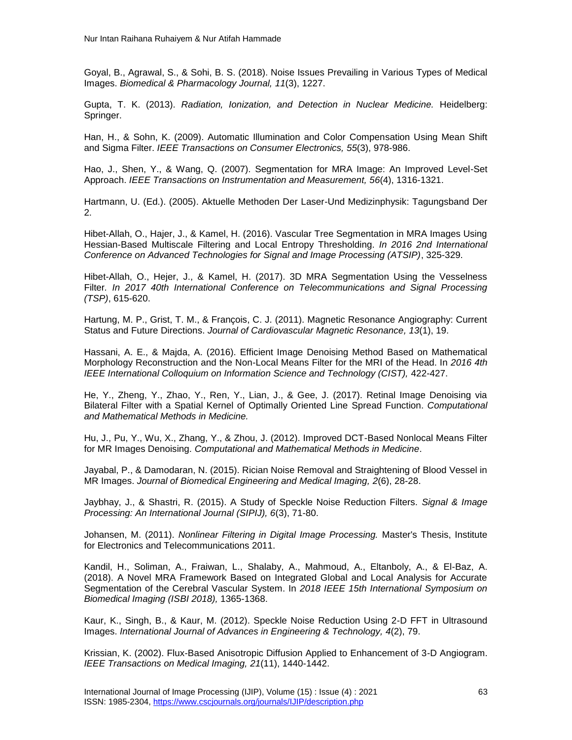Goyal, B., Agrawal, S., & Sohi, B. S. (2018). Noise Issues Prevailing in Various Types of Medical Images. *Biomedical & Pharmacology Journal, 11*(3), 1227.

Gupta, T. K. (2013). *Radiation, Ionization, and Detection in Nuclear Medicine.* Heidelberg: Springer.

Han, H., & Sohn, K. (2009). Automatic Illumination and Color Compensation Using Mean Shift and Sigma Filter. *IEEE Transactions on Consumer Electronics, 55*(3), 978-986.

Hao, J., Shen, Y., & Wang, Q. (2007). Segmentation for MRA Image: An Improved Level-Set Approach. *IEEE Transactions on Instrumentation and Measurement, 56*(4), 1316-1321.

Hartmann, U. (Ed.). (2005). Aktuelle Methoden Der Laser-Und Medizinphysik: Tagungsband Der 2.

Hibet-Allah, O., Hajer, J., & Kamel, H. (2016). Vascular Tree Segmentation in MRA Images Using Hessian-Based Multiscale Filtering and Local Entropy Thresholding. *In 2016 2nd International Conference on Advanced Technologies for Signal and Image Processing (ATSIP)*, 325-329.

Hibet-Allah, O., Hejer, J., & Kamel, H. (2017). 3D MRA Segmentation Using the Vesselness Filter*. In 2017 40th International Conference on Telecommunications and Signal Processing (TSP)*, 615-620.

Hartung, M. P., Grist, T. M., & François, C. J. (2011). Magnetic Resonance Angiography: Current Status and Future Directions. *Journal of Cardiovascular Magnetic Resonance, 13*(1), 19.

Hassani, A. E., & Majda, A. (2016). Efficient Image Denoising Method Based on Mathematical Morphology Reconstruction and the Non-Local Means Filter for the MRI of the Head. In *2016 4th IEEE International Colloquium on Information Science and Technology (CIST), 422-427.* 

He, Y., Zheng, Y., Zhao, Y., Ren, Y., Lian, J., & Gee, J. (2017). Retinal Image Denoising via Bilateral Filter with a Spatial Kernel of Optimally Oriented Line Spread Function. *Computational and Mathematical Methods in Medicine.* 

Hu, J., Pu, Y., Wu, X., Zhang, Y., & Zhou, J. (2012). Improved DCT-Based Nonlocal Means Filter for MR Images Denoising. *Computational and Mathematical Methods in Medicine*.

Jayabal, P., & Damodaran, N. (2015). Rician Noise Removal and Straightening of Blood Vessel in MR Images. *Journal of Biomedical Engineering and Medical Imaging, 2*(6), 28-28.

Jaybhay, J., & Shastri, R. (2015). A Study of Speckle Noise Reduction Filters. *Signal & Image Processing: An International Journal (SIPIJ), 6*(3), 71-80.

Johansen, M. (2011). *Nonlinear Filtering in Digital Image Processing.* Master's Thesis, Institute for Electronics and Telecommunications 2011.

Kandil, H., Soliman, A., Fraiwan, L., Shalaby, A., Mahmoud, A., Eltanboly, A., & El-Baz, A. (2018). A Novel MRA Framework Based on Integrated Global and Local Analysis for Accurate Segmentation of the Cerebral Vascular System. In *2018 IEEE 15th International Symposium on Biomedical Imaging (ISBI 2018),* 1365-1368.

Kaur, K., Singh, B., & Kaur, M. (2012). Speckle Noise Reduction Using 2-D FFT in Ultrasound Images. *International Journal of Advances in Engineering & Technology, 4*(2), 79.

Krissian, K. (2002). Flux-Based Anisotropic Diffusion Applied to Enhancement of 3-D Angiogram. *IEEE Transactions on Medical Imaging, 21*(11), 1440-1442.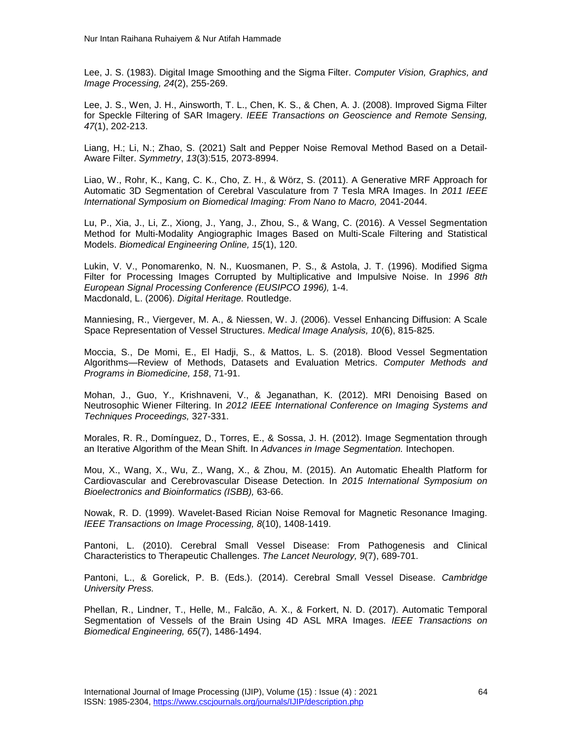Lee, J. S. (1983). Digital Image Smoothing and the Sigma Filter. *Computer Vision, Graphics, and Image Processing, 24*(2), 255-269.

Lee, J. S., Wen, J. H., Ainsworth, T. L., Chen, K. S., & Chen, A. J. (2008). Improved Sigma Filter for Speckle Filtering of SAR Imagery. *IEEE Transactions on Geoscience and Remote Sensing, 47*(1), 202-213.

Liang, H.; Li, N.; Zhao, S. (2021) Salt and Pepper Noise Removal Method Based on a Detail-Aware Filter. *Symmetry*, *13*(3):515, 2073-8994.

Liao, W., Rohr, K., Kang, C. K., Cho, Z. H., & Wörz, S. (2011). A Generative MRF Approach for Automatic 3D Segmentation of Cerebral Vasculature from 7 Tesla MRA Images. In *2011 IEEE International Symposium on Biomedical Imaging: From Nano to Macro,* 2041-2044.

Lu, P., Xia, J., Li, Z., Xiong, J., Yang, J., Zhou, S., & Wang, C. (2016). A Vessel Segmentation Method for Multi-Modality Angiographic Images Based on Multi-Scale Filtering and Statistical Models. *Biomedical Engineering Online, 15*(1), 120.

Lukin, V. V., Ponomarenko, N. N., Kuosmanen, P. S., & Astola, J. T. (1996). Modified Sigma Filter for Processing Images Corrupted by Multiplicative and Impulsive Noise. In *1996 8th European Signal Processing Conference (EUSIPCO 1996),* 1-4. Macdonald, L. (2006). *Digital Heritage.* Routledge.

Manniesing, R., Viergever, M. A., & Niessen, W. J. (2006). Vessel Enhancing Diffusion: A Scale Space Representation of Vessel Structures. *Medical Image Analysis, 10*(6), 815-825.

Moccia, S., De Momi, E., El Hadji, S., & Mattos, L. S. (2018). Blood Vessel Segmentation Algorithms—Review of Methods, Datasets and Evaluation Metrics. *Computer Methods and Programs in Biomedicine, 158*, 71-91.

Mohan, J., Guo, Y., Krishnaveni, V., & Jeganathan, K. (2012). MRI Denoising Based on Neutrosophic Wiener Filtering. In *2012 IEEE International Conference on Imaging Systems and Techniques Proceedings,* 327-331.

Morales, R. R., Domínguez, D., Torres, E., & Sossa, J. H. (2012). Image Segmentation through an Iterative Algorithm of the Mean Shift. In *Advances in Image Segmentation.* Intechopen.

Mou, X., Wang, X., Wu, Z., Wang, X., & Zhou, M. (2015). An Automatic Ehealth Platform for Cardiovascular and Cerebrovascular Disease Detection. In *2015 International Symposium on Bioelectronics and Bioinformatics (ISBB),* 63-66.

Nowak, R. D. (1999). Wavelet-Based Rician Noise Removal for Magnetic Resonance Imaging. *IEEE Transactions on Image Processing, 8*(10), 1408-1419.

Pantoni, L. (2010). Cerebral Small Vessel Disease: From Pathogenesis and Clinical Characteristics to Therapeutic Challenges. *The Lancet Neurology, 9*(7), 689-701.

Pantoni, L., & Gorelick, P. B. (Eds.). (2014). Cerebral Small Vessel Disease. *Cambridge University Press.*

Phellan, R., Lindner, T., Helle, M., Falcão, A. X., & Forkert, N. D. (2017). Automatic Temporal Segmentation of Vessels of the Brain Using 4D ASL MRA Images. *IEEE Transactions on Biomedical Engineering, 65*(7), 1486-1494.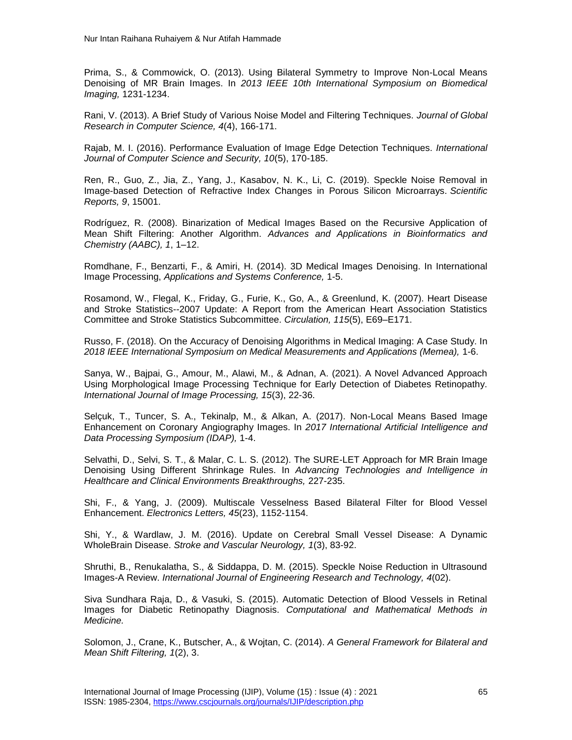Prima, S., & Commowick, O. (2013). Using Bilateral Symmetry to Improve Non-Local Means Denoising of MR Brain Images. In *2013 IEEE 10th International Symposium on Biomedical Imaging,* 1231-1234.

Rani, V. (2013). A Brief Study of Various Noise Model and Filtering Techniques. *Journal of Global Research in Computer Science, 4*(4), 166-171.

Rajab, M. I. (2016). Performance Evaluation of Image Edge Detection Techniques. *International Journal of Computer Science and Security, 10*(5), 170-185.

Ren, R., Guo, Z., Jia, Z., Yang, J., Kasabov, N. K., Li, C. (2019). Speckle Noise Removal in Image-based Detection of Refractive Index Changes in Porous Silicon Microarrays. *Scientific Reports, 9*, 15001.

Rodríguez, R. (2008). Binarization of Medical Images Based on the Recursive Application of Mean Shift Filtering: Another Algorithm. *Advances and Applications in Bioinformatics and Chemistry (AABC), 1*, 1–12.

Romdhane, F., Benzarti, F., & Amiri, H. (2014). 3D Medical Images Denoising. In International Image Processing, *Applications and Systems Conference,* 1-5.

Rosamond, W., Flegal, K., Friday, G., Furie, K., Go, A., & Greenlund, K. (2007). Heart Disease and Stroke Statistics--2007 Update: A Report from the American Heart Association Statistics Committee and Stroke Statistics Subcommittee. *Circulation, 115*(5), E69–E171.

Russo, F. (2018). On the Accuracy of Denoising Algorithms in Medical Imaging: A Case Study. In *2018 IEEE International Symposium on Medical Measurements and Applications (Memea),* 1-6.

Sanya, W., Bajpai, G., Amour, M., Alawi, M., & Adnan, A. (2021). A Novel Advanced Approach Using Morphological Image Processing Technique for Early Detection of Diabetes Retinopathy. *International Journal of Image Processing, 15*(3), 22-36.

Selçuk, T., Tuncer, S. A., Tekinalp, M., & Alkan, A. (2017). Non-Local Means Based Image Enhancement on Coronary Angiography Images. In *2017 International Artificial Intelligence and Data Processing Symposium (IDAP),* 1-4.

Selvathi, D., Selvi, S. T., & Malar, C. L. S. (2012). The SURE-LET Approach for MR Brain Image Denoising Using Different Shrinkage Rules. In *Advancing Technologies and Intelligence in Healthcare and Clinical Environments Breakthroughs,* 227-235.

Shi, F., & Yang, J. (2009). Multiscale Vesselness Based Bilateral Filter for Blood Vessel Enhancement. *Electronics Letters, 45*(23), 1152-1154.

Shi, Y., & Wardlaw, J. M. (2016). Update on Cerebral Small Vessel Disease: A Dynamic WholeBrain Disease. *Stroke and Vascular Neurology, 1*(3), 83-92.

Shruthi, B., Renukalatha, S., & Siddappa, D. M. (2015). Speckle Noise Reduction in Ultrasound Images-A Review. *International Journal of Engineering Research and Technology, 4*(02).

Siva Sundhara Raja, D., & Vasuki, S. (2015). Automatic Detection of Blood Vessels in Retinal Images for Diabetic Retinopathy Diagnosis. *Computational and Mathematical Methods in Medicine.* 

Solomon, J., Crane, K., Butscher, A., & Wojtan, C. (2014). *A General Framework for Bilateral and Mean Shift Filtering, 1*(2), 3.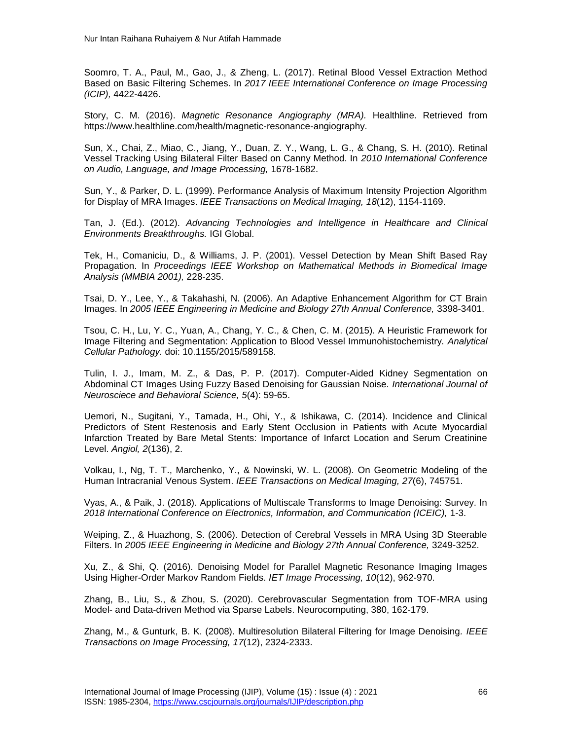Soomro, T. A., Paul, M., Gao, J., & Zheng, L. (2017). Retinal Blood Vessel Extraction Method Based on Basic Filtering Schemes. In *2017 IEEE International Conference on Image Processing (ICIP),* 4422-4426.

Story, C. M. (2016). *Magnetic Resonance Angiography (MRA).* Healthline. Retrieved from https://www.healthline.com/health/magnetic-resonance-angiography.

Sun, X., Chai, Z., Miao, C., Jiang, Y., Duan, Z. Y., Wang, L. G., & Chang, S. H. (2010). Retinal Vessel Tracking Using Bilateral Filter Based on Canny Method. In *2010 International Conference on Audio, Language, and Image Processing,* 1678-1682.

Sun, Y., & Parker, D. L. (1999). Performance Analysis of Maximum Intensity Projection Algorithm for Display of MRA Images. *IEEE Transactions on Medical Imaging, 18*(12), 1154-1169.

Tan, J. (Ed.). (2012). *Advancing Technologies and Intelligence in Healthcare and Clinical Environments Breakthroughs.* IGI Global.

Tek, H., Comaniciu, D., & Williams, J. P. (2001). Vessel Detection by Mean Shift Based Ray Propagation. In *Proceedings IEEE Workshop on Mathematical Methods in Biomedical Image Analysis (MMBIA 2001),* 228-235.

Tsai, D. Y., Lee, Y., & Takahashi, N. (2006). An Adaptive Enhancement Algorithm for CT Brain Images. In *2005 IEEE Engineering in Medicine and Biology 27th Annual Conference,* 3398-3401.

Tsou, C. H., Lu, Y. C., Yuan, A., Chang, Y. C., & Chen, C. M. (2015). A Heuristic Framework for Image Filtering and Segmentation: Application to Blood Vessel Immunohistochemistry. *Analytical Cellular Pathology.* doi: 10.1155/2015/589158.

Tulin, I. J., Imam, M. Z., & Das, P. P. (2017). Computer-Aided Kidney Segmentation on Abdominal CT Images Using Fuzzy Based Denoising for Gaussian Noise. *International Journal of Neurosciece and Behavioral Science, 5*(4): 59-65.

Uemori, N., Sugitani, Y., Tamada, H., Ohi, Y., & Ishikawa, C. (2014). Incidence and Clinical Predictors of Stent Restenosis and Early Stent Occlusion in Patients with Acute Myocardial Infarction Treated by Bare Metal Stents: Importance of Infarct Location and Serum Creatinine Level. *Angiol, 2*(136), 2.

Volkau, I., Ng, T. T., Marchenko, Y., & Nowinski, W. L. (2008). On Geometric Modeling of the Human Intracranial Venous System. *IEEE Transactions on Medical Imaging, 27*(6), 745751.

Vyas, A., & Paik, J. (2018). Applications of Multiscale Transforms to Image Denoising: Survey. In *2018 International Conference on Electronics, Information, and Communication (ICEIC),* 1-3.

Weiping, Z., & Huazhong, S. (2006). Detection of Cerebral Vessels in MRA Using 3D Steerable Filters. In *2005 IEEE Engineering in Medicine and Biology 27th Annual Conference,* 3249-3252.

Xu, Z., & Shi, Q. (2016). Denoising Model for Parallel Magnetic Resonance Imaging Images Using Higher-Order Markov Random Fields. *IET Image Processing, 10*(12), 962-970.

Zhang, B., Liu, S., & Zhou, S. (2020). Cerebrovascular Segmentation from TOF-MRA using Model- and Data-driven Method via Sparse Labels. Neurocomputing, 380, 162-179.

Zhang, M., & Gunturk, B. K. (2008). Multiresolution Bilateral Filtering for Image Denoising*. IEEE Transactions on Image Processing, 17*(12), 2324-2333.